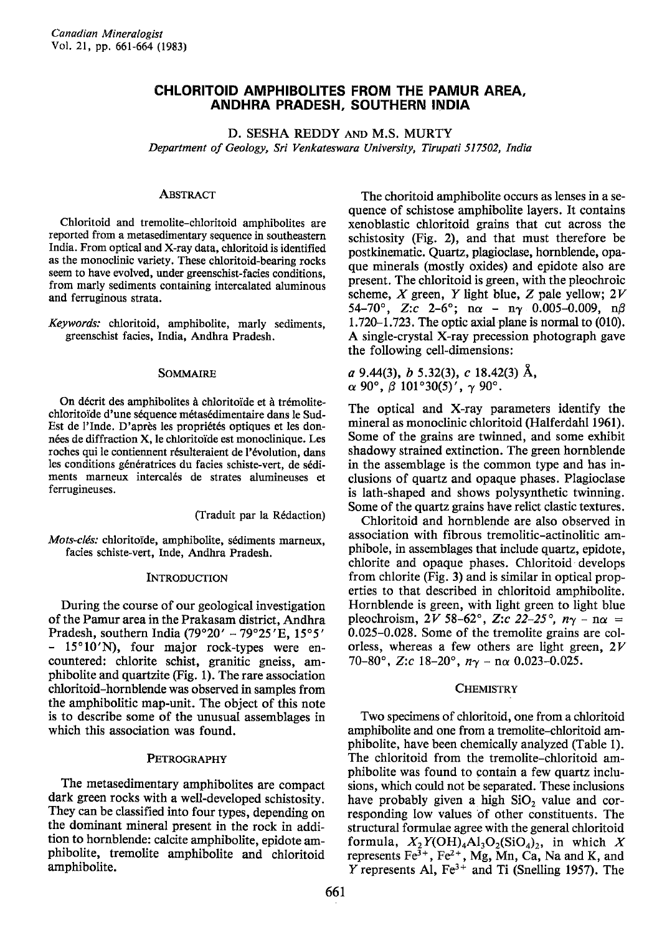# CHLORITOID AMPHIBOLITES FROM THE PAMUR AREA, ANDHRA PRADESH, SOUTHERN INDIA

D. SESHA REDDY AND M.S. MURTY Department of Geology, Sri Venkateswara University, Tirupati 517502, Indio

### **ABSTRACT**

Chloritoid and tremolite-chloritoid amphibolites are reported fiom a metasedimentary sequence in southeastern India. From optical and X-ray data, chloritoid is identified as the monoclinic variety. These chloritoid-bearing rocks seem to have evolved, under greenschist-facies conditions, from marly sediments containing intercalated aluminous and ferruginous strata.

Keywords: chloritoid, amphibolite, marly sediments, greenschist facies, India, Andhra Pradesh.

#### SOMMAIRE

On décrit des amphibolites à chloritoïde et à trémolitechloritoïde d'une séquence métasédimentaire dans le Sud-Est de l'Inde. D'après les propriétés optiques et les données de diffraction X, le chloritoïde est monoclinique. Les roches qui le contiennent résulteraient de l'évolution, dans les conditions génératrices du facies schiste-vert, de sédiments marneux intercalés de strates alumineuses et ferrugineuses.

(Traduit par la R6daction)

Mots-clés: chloritoïde, amphibolite, sédiments marneux, facies schiste-vert, Inde, Andhra Pradesh.

### **INTRODUCTION**

During the course of our geological investigation of the Pamur area in the Prakasam district, Andhra Pradesh, southern India  $(79°20' - 79°25'E, 15°5'$  $15^{\circ}10'$ N), four major rock-types were encountered: chlorite schist, granitic gneiss, amphibolite and quartzite (Fig. 1). The rare association chloritoid-hornblende was observed in samples from the amphibolitic map-unit. The object of this note is to describe some of the unusual assemblages in which this association was found.

## PETROGRAPHY

The metasedimentary amphibolites are compact dark green rocks with a well-developed schistosity. They can be classified into four types, depending on the dominant mineral present in the rock in addition to hornblende: calcite amphibolite, epidote amphibolite, tremolite amphibolite and chloritoid amphibolite.

The choritoid amphibolite occurs as lenses in a sequence of schistose amphibolite layers. It contains xenoblastic chloritoid grains that cut across the schistosity (Fig. 2), and that must therefore be postkinematic. Quartz, plagioclase, hornblende, opaque minerals (mostly oxides) and epidote also are present. The chloritoid is green, with the pleochroic scheme,  $X$  green,  $Y$  light blue,  $Z$  pale yellow;  $2V$ 54-70°, Z:c 2-6°; n $\alpha$  - n $\gamma$  0.005-0.009, n $\beta$  $1.720-1.723$ . The optic axial plane is normal to  $(010)$ . A single-crystal X-ray precession photograph gave the following cell-dimensions:

a 9.44(3), b 5.32(3), c 18.42(3) Å,  $\alpha$  90°,  $\beta$  101°30(5)',  $\gamma$  90°.

The optical and X-ray parameters identify the mineral as monoclinic chloritoid (Halferdahl 196l). Some of the grains are twinned, and some exhibit shadowy strained extinction. The green hornblende in the assemblage is the common type and has inclusions of quartz and opaque phases. Plagioclase is lath-shaped and shows polysynthetic twinning. Some of the quartz grains have relict clastic textures.

Chloritoid and hornblende are also observed in association with fibrous tremolitic-actinolitic amphibole, in assemblages that include quartz, epidote, chlorite and opaque phases. Chloritoid develops from chlorite (Fig. 3) and is similar in optical properties to that described in chloritoid amphibolite. Hornblende is green, with light green to light blue pleochroism,  $2V$  58-62°, Z:c  $22-25$ °,  $n\gamma - n\alpha =$ 0.025-0.028. Some of the tremolite grains are colorless, whereas a few others are light green,  $2V$ 70-80°, Z:c 18-20°,  $n_{\gamma}$  - nor 0.023-0.025.

### **CHEMISTRY**

Two specimens of chloritoid, one from a chloritoid amphibolite and one from a tremolite-chloritoid amphibolite, have been chemically analyzed (Table l). The chloritoid from the tremolite-chloritoid amphibolite was found to pontain a few quartz inclusions, which could not be separated. These inclusions have probably given a high  $SiO<sub>2</sub>$  value and corresponding low values of other constituents. The structural formulae agree with the general chloritoid formula,  $X_2 Y(OH)_4 A1_3 O_2(SiO_4)_2$ , in which X represents  $Fe^{3+}$ ,  $Fe^{2+}$ , Mg, Mn, Ca, Na and K, and  $Y$  represents Al, Fe<sup>3+</sup> and Ti (Snelling 1957). The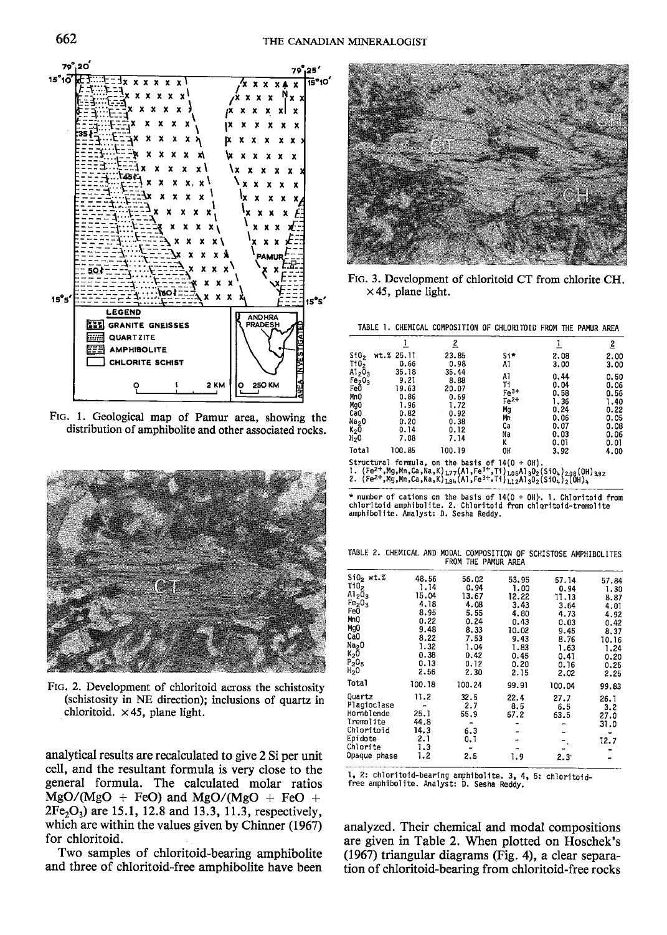

FIG. 1. Geological map of Pamur area, showing the distribution of amphibolite and other associated rocks.



FIG. 2. Development of chloritoid across the schistosity (schistosity in NE direction); inclusions of quartz in chloritoid.  $\times$  45, plane light.

analytical results are recalculated to give 2 Si per unit cell, and the resultant formula is very close to the general formula. The calculated molar ratios  $MgO/(MgO + FeO)$  and  $MgO/(MgO + FeO +$  $2Fe<sub>2</sub>O<sub>3</sub>$ ) are 15.1, 12.8 and 13.3, 11.3, respectively, which are within the values given by Chinner (1967) for chloritoid.

Two samples of chloritoid-bearing amphibolite and three of chloritoid-free amphibolite have been



FIG. 3. Development of chloritoid CT from chlorite CH.  $\times$  45, plane light.

TABLE 1. CHEMICAL COMPOSITION OF CHLORITOID FROM THE PAMUR AREA

|                                                                                                                                        |                                                                                                                                                                                                                                                                              | 2                                                                      |                                                           |                                                                      | 2                                                                    |
|----------------------------------------------------------------------------------------------------------------------------------------|------------------------------------------------------------------------------------------------------------------------------------------------------------------------------------------------------------------------------------------------------------------------------|------------------------------------------------------------------------|-----------------------------------------------------------|----------------------------------------------------------------------|----------------------------------------------------------------------|
| \$10 <sub>2</sub><br>Ti0,                                                                                                              | wt.% 25.11<br>0.66                                                                                                                                                                                                                                                           | 23.85<br>0.98                                                          | Si*<br>AI                                                 | 2.08<br>3.00                                                         | 2.00<br>3.00                                                         |
| Al <sub>2</sub> O <sub>3</sub><br>Fe <sub>2</sub> O <sub>3</sub><br>Fe0<br>MnO<br>Mg0<br>Ca0<br>Na <sub>2</sub> 0<br>$K_2$ 0<br>$H_2O$ | 35.18<br>9.21<br>19.63<br>0.86<br>1.96<br>0.82<br>0.20<br>0.14<br>7.08                                                                                                                                                                                                       | 35.44<br>8.88<br>20.07<br>0.69<br>1.72<br>0.92<br>0.38<br>0.12<br>7.14 | A٦<br>Ti<br>$Fe3+$<br>$Fe2+$<br>Mg<br>Mn<br>Сa<br>Na<br>ĸ | 0.44<br>0.04<br>0.58<br>1.36<br>0.24<br>0.06<br>0.07<br>0.03<br>0.01 | 0.50<br>0.06<br>0.56<br>1.40<br>0.22<br>0.05<br>0.08<br>0.06<br>0.01 |
| <b>Total</b>                                                                                                                           | 100.85                                                                                                                                                                                                                                                                       | 100.19                                                                 | OH                                                        | 3.92                                                                 | 4.00                                                                 |
|                                                                                                                                        | Structural formula, on the basis of $14(0 + 0H)$ .<br>1. (Fe <sup>2+</sup> , Mg, Mn, Ca, Na, K) 177(Al, Fe <sup>3+</sup> , Il) 106Al 302(S104) 298(OH) 392<br>2. $(Fe^{2+}, Mg, Mn, Ca, Na, K)_{194}^{7}(A1, Fe^{3+}, T1)_{112}^{7}A1_{3}0_{2}^{7}(S10_{4})_{2}^{7}(OH)_{4}$ |                                                                        |                                                           |                                                                      |                                                                      |

\* number of cations on the basis of 14(0 + 0H). 1. Chloritoid from<br>chloritoid amphibolite. 2. Chloritoid from chloritoid-tremolite<br>amphibolite. Analyst: D. Sesha Reddy.

TABLE 2. CHEMICAL AND MODAL COMPOSITION OF SCHISTOSE AMPHIBOLITES FROM THE PAMUR AREA

| $SiO2$ wt. $%$                 | 48.56  | 56.02  | 53.95 | 57.14         | 57.84 |
|--------------------------------|--------|--------|-------|---------------|-------|
| Ti0 <sub>2</sub>               | 1.14   | 0.94   | 1.00  | 0.94          | 1.30  |
| $Al_2O_3$                      | 15.04  | 13.67  | 12.22 | 11.13         | 8.87  |
| Fe <sub>2</sub> O <sub>3</sub> | 4.18   | 4.08   | 3.43  | 3.64          | 4.01  |
| FeÖ                            | 8.95   | 5.55   | 4.80  | 4.73          | 4.92  |
| MnO                            | 0.22   | 0.24   | 0.43  | 0.03          | 0.42  |
| MgO                            | 9.48   | 8.33   | 10.02 | 9.45          | 8.37  |
| CaO                            | 8.22   | 7.53   | 9.43  | 8.76          | 10.16 |
| Na <sub>2</sub> 0              | 1.32   | 1.04   | 1.83  | 1.63          | 1.24  |
| $K_2$ 0                        | 0.38   | 0.42   | 0.45  | 0.41          | 0.20  |
| $P_2O_5$                       | 0.13   | 0.12   | 0.20  | 0.16          | 0.25  |
| H <sub>2</sub> 0               | 2.56   | 2.30   | 2.15  | 2.02          | 2.25  |
| Total                          | 100.18 | 100.24 | 99.91 | 100.04        | 99.83 |
| Ouartz                         | 11.2   | 32.5   | 22.4  | 27.7          | 26.1  |
| Plagioclase                    |        | 2.7    | 8.5   | 6.5           | 3.2   |
| Hornblende                     | 25.1   | 55.9   | 67.2  | 63.5          | 27.0  |
| Tremolite                      | 44.8   |        |       |               | 31.0  |
| Chloritoid                     | 14.3   | 6.3    | -     |               |       |
| Epidote                        | 2.1    | 0.1    |       |               | 12.7  |
| Chlorite                       | 1.3    |        |       |               |       |
| Opaque phase                   | 1.2    | 2.5    | 1.9   | $2.3^{\circ}$ |       |

1, 2: chloritoid-bearing amphibolite. 3, 4, 5: chloritoid-<br>free amphibolite. Analyst: D. Sesha Reddy.

analyzed. Their chemical and modal compositions are given in Table 2. When plotted on Hoschek's (1967) triangular diagrams (Fig. 4), a clear separation of chloritoid-bearing from chloritoid-free rocks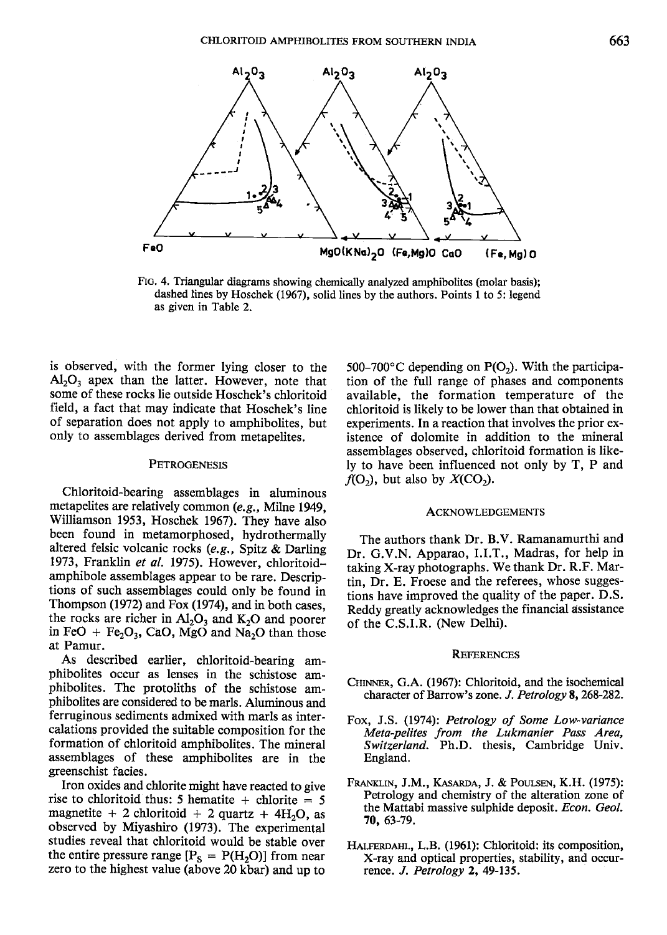

FIc. 4. Triangular diagrams showing chemically analyzed amphibolites (molar basis); dashed lines by Hoschek (1967), solid lines by the authors. Points I to 5: legend as given in Table 2.

is observed, with the former lying closer to the  $Al_2O_3$  apex than the latter. However, note that some of these rocks lie outside Hoschek's chloritoid field, a fact that may indicate that Hoschek's line of separation does not apply to amphibolites, bur only to assemblages derived from metapelites.

#### PETROGENESIS

Chloritoid-bearing assemblages in aluminous metapelites are relatively common (e.g., Milne 1949, Williamson 1953, Hoschek 1967). They have also been found in metamorphosed, hydrothermally altered felsic volcanic rocks (e.g., Spitz & Darling 1973, Franklin et al. 1975). However, chloritoidamphibole assemblages appear to be rare. Descriptions of such assemblages could only be found in Thompson (1972) and Fox (1974), and in both cases, the rocks are richer in  $Al_2O_3$  and  $K_2O$  and poorer in FeO + Fe<sub>2</sub>O<sub>3</sub>, CaO, MgO and Na<sub>2</sub>O than those at Pamur.

As described earlier, chloritoid-bearing amphibolites occur as lenses in the schistose amphibolites. The protoliths of the schistose amphibolites are considered to be marls. Aluminous and ferruginous sediments admixed with marls as intercalations provided the suitable composition for the formation of chloritoid amphibolites. The mineral assemblages of these amphibolites are in the greenschist facies.

Iron oxides and chlorite might have reacted to give rise to chloritoid thus: 5 hematite + chlorite  $= 5$ magnetite + 2 chloritoid + 2 quartz +  $4H<sub>2</sub>O$ , as observed by Miyashiro (1973), The experimental studies reveal that chloritoid would be stable over the entire pressure range  $[P_S = P(H_2O)]$  from near zero to the highest value (above 20 kbar) and up to

500–700 $\degree$ C depending on P(O<sub>2</sub>). With the participation of the full range of phases and components available, the formation temperature of the chloritoid is likely to be lower than that obtained in experiments. In a reaction that involves the prior existence of dolomite in addition to the mineral assemblages observed, chloritoid formation is likely to have been influenced not only by T, P and  $f(O_2)$ , but also by  $X(CO_2)$ .

#### ACKNOWLEDGEMENTS

The authors thank Dr. B.V. Ramanamurthi and Dr. G.V.N. Apparao, I.I.T., Madras, for help in taking X-ray photographs. We thank Dr. R.F. Martin, Dr. E. Froese and the referees, whose suggestions have improved the quality of the paper. D.S. Reddy greatly acknowledges the financial dssistance of the C.S.LR. (New Delhi).

#### **REFERENCES**

- CHINNER, G.A. (1967): Chloritoid, and the isochemical character of Barrow's zone, *J. Petrology* 8, 268-282.
- Fox, J.S. (1974): Petrology of Some Low-variance Meta-pelites from the Lukmanier Pass Area, Switzerland. Ph.D. thesis, Cambridge Univ. England.
- Franklin, J.M., Kasarda, J. & Poulsen, K.H. (1975): Petrology and chemistry of the alteration zone of the Mattabi massive sulphide deposit. Econ. Geol. 70,63-79.
- HALFERDAHL, L.B. (1961): Chloritoid: its composition, X-ray and optical properties, stability, and occurrence. J. Petrology 2, 49-135.